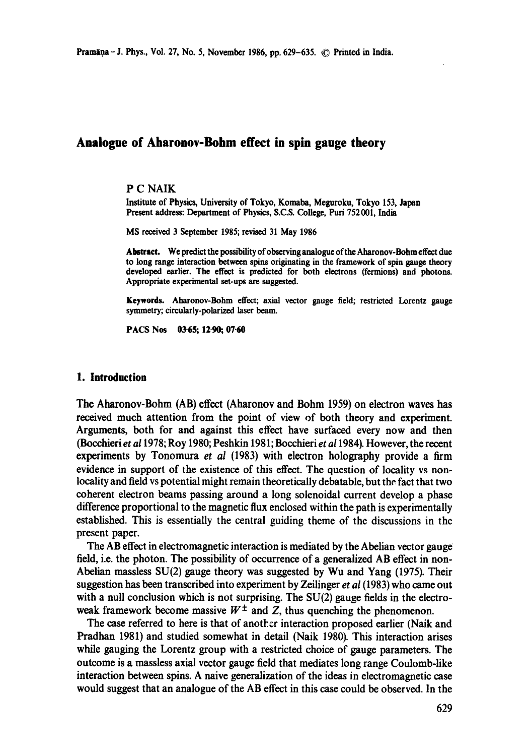# **Analogue of Aharonov-Bohm effect in spin gauge theory**

### P C NAIK

Institute of Physics, University of Tokyo, Komaba, Meguroku, Tokyo 153, Japan Present address: Department of Physics, S.C.S. College, Puri 752001, India

MS received 3 September 1985; revised 31 May 1986

Abstract. We predict the possibifity of observing analogue of the Aharonov-Bohm effect due **to** long range interaction between spins originating in the framework of spin gauge theory developed earlier. The effect is predicted for both electrons (fermions) and photons. Appropriate experimental set-ups are suggested.

**Keywords.** Aharonov-Bohm effect; axial vector gauge field; restricted Lorentz gauge symmetry; circularly-polarized laser beam.

PACS Nos 03.65; 12.90, 07.60

#### **1. Introduction**

The Aharonov-Bohm (AB) effect (Aharonov and Bohm 1959) on electron waves has received much attention from the point of view of both theory and experiment. Arguments, both for and against this effect have surfaced every now and then (Bocchieri *et a11978;* Roy 1980; Peshkin 1981; Bocchieri *et a11984).* However, the recent experiments by Tonomura *et al* (1983) with electron holography provide a firm evidence in support of the existence of this effect. The question of locality vs nonlocality and field vs potential might remain theoretically debatable, but the fact that two coherent electron beams passing around a long solenoidal current develop a phase difference proportional to the magnetic flux enclosed within the path is experimentally established. This is essentially the central guiding theme of the discussions in the present paper.

The AB effect in electromagnetic interaction is mediated by the Abelian vector gauge field, i.e. the photon. The possibility of occurrence of a generalized AB effect in non-Abelian massless  $SU(2)$  gauge theory was suggested by Wu and Yang (1975). Their suggestion has been transcribed into experiment by Zeilinger *et al* (1983) who came out with a null conclusion which is not surprising. The SU(2) gauge fields in the electroweak framework become massive  $W^{\pm}$  and Z, thus quenching the phenomenon.

The case referred to here is that of another interaction proposed earlier (Naik and Pradhan 1981) and studied somewhat in detail (Naik 1980). This interaction arises while gauging the Lorentz group with a restricted choice of gauge parameters. The outcome is a massless axial vector gauge field that mediates long range Coulomb-like interaction between spins. A naive generalization of the ideas in electromagnetic case would suggest that an analogue of the AB effect in this case could be observed. In the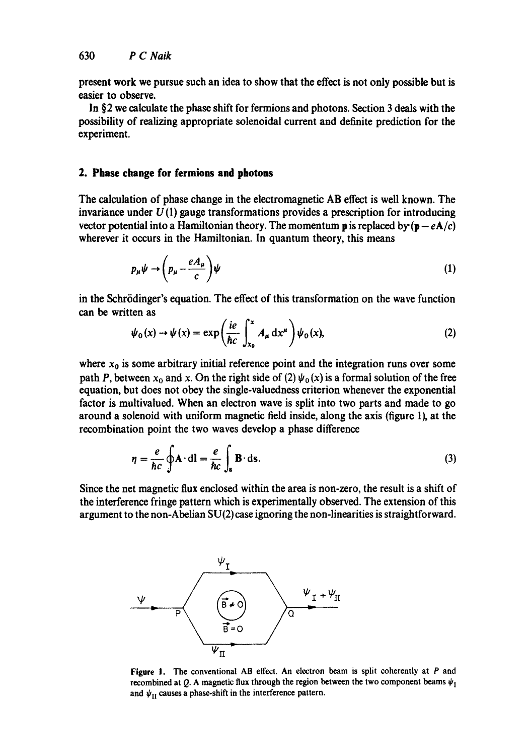present work we pursue such an idea to show that the effect is not only possible but is easier to observe.

In §2 we calculate the phase shift for fermions and photons. Section 3 deals with the possibility of realizing appropriate solenoidal current and definite prediction for the experiment.

### **2. Phase change for fermions and photons**

The calculation of phase change in the electromagnetic AB effect is well known. The invariance under  $U(1)$  gauge transformations provides a prescription for introducing vector potential into a Hamiltonian theory. The momentum **p** is replaced by  $(\mathbf{p} - e\mathbf{A}/c)$ wherever it occurs in the Hamiltonian. In quantum theory, this means

$$
p_{\mu}\psi \to \left(p_{\mu} - \frac{eA_{\mu}}{c}\right)\psi \tag{1}
$$

in the Schrödinger's equation. The effect of this transformation on the wave function can be written as

$$
\psi_0(x) \to \psi(x) = \exp\left(\frac{ie}{\hbar c} \int_{x_0}^x A_\mu \, dx^\mu\right) \psi_0(x),\tag{2}
$$

where  $x_0$  is some arbitrary initial reference point and the integration runs over some path *P*, between  $x_0$  and x. On the right side of (2)  $\psi_0(x)$  is a formal solution of the free equation, but does not obey the single-valuedness criterion whenever the exponential factor is multivalued. When an electron wave is split into two parts and made to go around a solenoid with uniform magnetic field inside, along the axis (figure 1), at the recombination point the two waves develop a phase difference

$$
\eta = \frac{e}{\hbar c} \oint \mathbf{A} \cdot d\mathbf{l} = \frac{e}{\hbar c} \int_{\mathbf{s}} \mathbf{B} \cdot d\mathbf{s}.
$$
 (3)

Since the net magnetic flux enclosed within the area is non-zero, the result is a shift of the interference fringe pattern which is experimentally observed. The extension of this argument to the non-Abelian SU(2) case ignoring the non-linearities is straightforward.



Figure 1. The conventional AB effect. An electron beam is split coherently at P and recombined at Q. A magnetic flux through the region between the two component beams  $\psi_1$ and  $\psi_{\text{II}}$  causes a phase-shift in the interference pattern.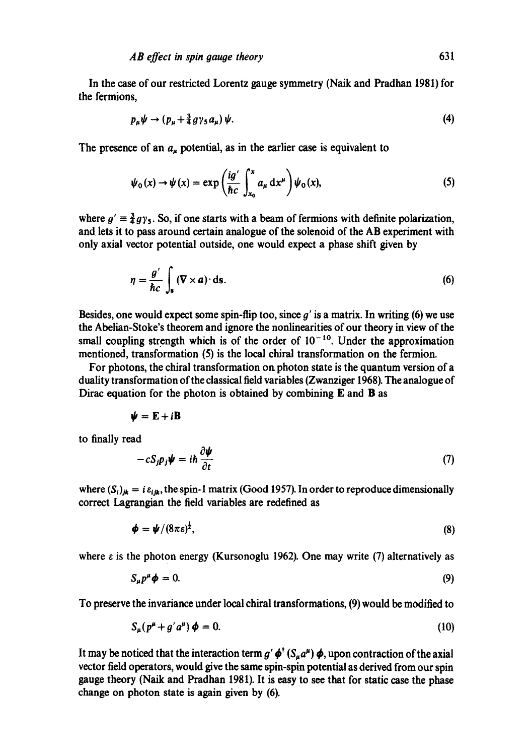In the case of our restricted Lorentz gauge symmetry (Naik and Pradhan 1981) for the fermions,

$$
p_{\mu}\psi \to (p_{\mu} + \frac{3}{4}g\gamma_5 a_{\mu})\psi. \tag{4}
$$

The presence of an  $a_{\mu}$  potential, as in the earlier case is equivalent to

$$
\psi_0(x) \to \psi(x) = \exp\left(\frac{ig'}{\hbar c} \int_{x_0}^x a_\mu \, dx^\mu\right) \psi_0(x),\tag{5}
$$

where  $g' \equiv \frac{3}{4}gy_5$ . So, if one starts with a beam of fermions with definite polarization, and lets it to pass around certain analogue of the solenoid of the AB experiment with only axial vector potential outside, one would expect a phase shift given by

$$
\eta = \frac{g'}{\hbar c} \int_{s} (\nabla \times a) \cdot \mathrm{d}s. \tag{6}
$$

Besides, one would expect some spin-flip too, since  $q'$  is a matrix. In writing (6) we use the Abelian-Stoke's theorem and ignore the nonlinearities of our theory in view of the small coupling strength which is of the order of  $10^{-10}$ . Under the approximation mentioned, transformation (5) is the local chiral transformation on the fermion.

For photons, the chiral transformation on. photon state is the quantum version of a duality transformation of the classical field variables (Zwanziger 1968). The analogue of Dirac equation for the photon is obtained by combining  $E$  and  $B$  as

$$
\psi = \mathbf{E} + i\mathbf{B}
$$

to finally read

$$
-cS_j p_j \psi = i\hbar \frac{\partial \psi}{\partial t} \tag{7}
$$

where  $(S_i)_{jk} = i \varepsilon_{ijk}$ , the spin-1 matrix (Good 1957). In order to reproduce dimensionally correct Lagrangian the field variables are redefined as

$$
\boldsymbol{\phi} = \boldsymbol{\psi}/(8\pi\epsilon)^{\frac{1}{2}},\tag{8}
$$

where  $\varepsilon$  is the photon energy (Kursonoglu 1962). One may write (7) alternatively as

$$
S_{\mu}p^{\mu}\phi=0. \tag{9}
$$

To preserve the invariance under local chiral transformations, (9) would be modified to

$$
S_{\mu}(p^{\mu} + g' a^{\mu}) \phi = 0. \tag{10}
$$

It may be noticed that the interaction term  $g' \phi' (S_u a^{\mu}) \phi$ , upon contraction of the axial vector field operators, would give the same spin-spin potential as derived from our spin gauge theory (Naik and Pradhan 1981). It is easy to see that for static case the phase change on photon state is again given by (6).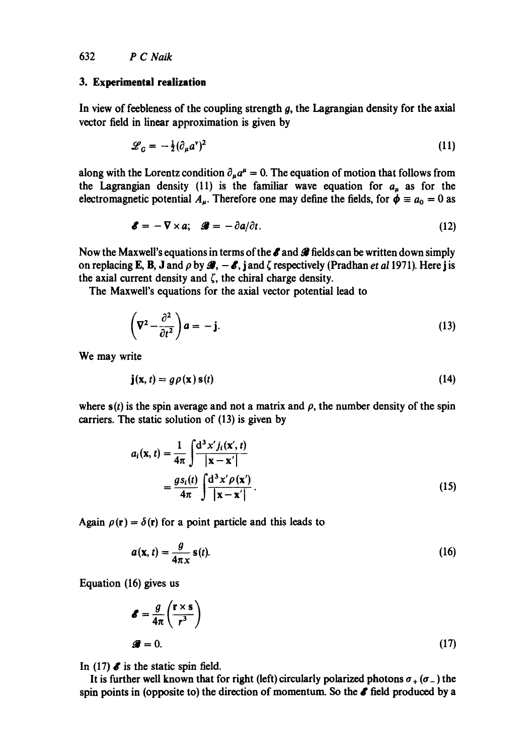### **3. Experimental realization**

In view of feebleness of the coupling strength  $g$ , the Lagrangian density for the axial vector field in linear approximation is given by

$$
\mathcal{L}_G = -\frac{1}{2}(\partial_\mu a^\nu)^2 \tag{11}
$$

along with the Lorentz condition  $\partial_{\mu}a^{\mu} = 0$ . The equation of motion that follows from the Lagrangian density (11) is the familiar wave equation for  $a<sub>u</sub>$  as for the electromagnetic potential  $A_{\mu}$ . Therefore one may define the fields, for  $\dot{\phi} = a_0 = 0$  as

$$
\mathbf{\mathscr{E}} = -\nabla \times a; \quad \mathbf{\mathscr{B}} = -\partial a/\partial t. \tag{12}
$$

Now the Maxwell's equations in terms of the  $\ell$  and  $\ell$  fields can be written down simply on replacing **E**, **B**, **J** and  $\rho$  by  $\mathcal{B}_1 - \mathcal{E}_2$ , j and  $\zeta$  respectively (Pradhan *et al* 1971). Here j is the axial current density and  $\zeta$ , the chiral charge density.

The Maxwell's equations for the axial vector potential lead to

$$
\left(\nabla^2 - \frac{\partial^2}{\partial t^2}\right) a = -\mathbf{j}.\tag{13}
$$

We may write

$$
\mathbf{j}(\mathbf{x},t) = g\rho(\mathbf{x})\,\mathbf{s}(t) \tag{14}
$$

where  $s(t)$  is the spin average and not a matrix and  $\rho$ , the number density of the spin carriers. The static solution of (13) is given by

$$
a_i(\mathbf{x}, t) = \frac{1}{4\pi} \int \frac{d^3 x' j_i(\mathbf{x}', t)}{|\mathbf{x} - \mathbf{x}'|}
$$

$$
= \frac{g s_i(t)}{4\pi} \int \frac{d^3 x' \rho(\mathbf{x}')}{|\mathbf{x} - \mathbf{x}'|}.
$$
(15)

Again  $\rho(r) = \delta(r)$  for a point particle and this leads to

$$
a(\mathbf{x},t) = \frac{g}{4\pi x} \mathbf{s}(t). \tag{16}
$$

Equation (16) gives us

$$
\mathbf{\mathscr{E}} = \frac{g}{4\pi} \left( \frac{\mathbf{r} \times \mathbf{s}}{r^3} \right)
$$
  

$$
\mathbf{\mathscr{G}} = 0.
$$
 (17)

In (17)  $\boldsymbol{\delta}$  is the static spin field.

It is further well known that for right (left) circularly polarized photons  $\sigma_+(\sigma_-)$  the spin points in (opposite to) the direction of momentum. So the  $\ell$  field produced by a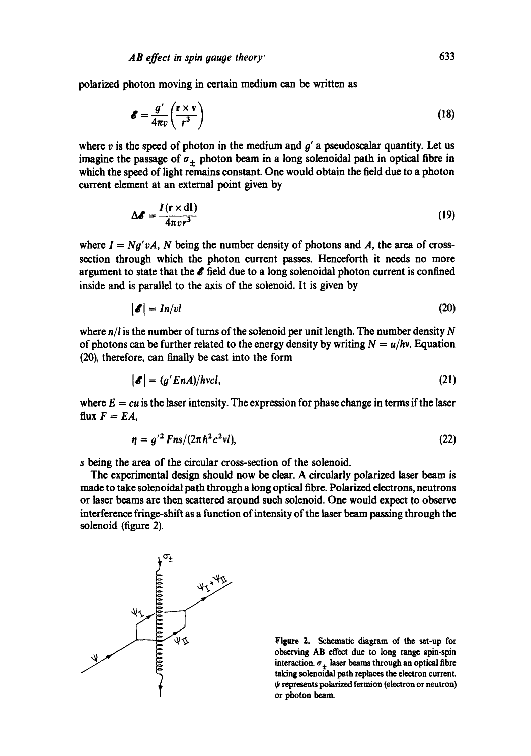polarized photon moving in certain medium can be written as

$$
\mathcal{E} = \frac{g'}{4\pi v} \left( \frac{\mathbf{r} \times \mathbf{v}}{r^3} \right) \tag{18}
$$

where v is the speed of photon in the medium and  $g'$  a pseudoscalar quantity. Let us imagine the passage of  $\sigma_+$  photon beam in a long solenoidal path in optical fibre in which the speed of light remains constant. One would obtain the field due to a photon current element at an external point given by

$$
\Delta \mathbf{\mathcal{E}} = \frac{I(\mathbf{r} \times \mathbf{dl})}{4\pi v r^3}
$$
(19)

where  $I = Ng'vA$ , N being the number density of photons and A, the area of crosssection through which the photon current passes. Henceforth it needs no more argument to state that the  $\ell$  field due to a long solenoidal photon current is confined inside and is parallel to the axis of the solenoid. It is given by

$$
|\mathcal{E}| = In/vl \tag{20}
$$

where  $n/l$  is the number of turns of the solenoid per unit length. The number density N of photons can be further related to the energy density by writing  $N = u/hv$ . Equation (20), therefore, can finally be cast into the form

$$
|\mathcal{E}| = (g'EnA)/hvcI,
$$
\n(21)

where  $E = cu$  is the laser intensity. The expression for phase change in terms if the laser flux  $F = EA$ ,

$$
\eta = g'^2 F n s / (2 \pi \hbar^2 c^2 v l), \tag{22}
$$

s being the area of the circular cross-section of the solenoid.

The experimental design should now be clear. A circularly polarized laser beam is made to take solenoidal path through a long optical fibre. Polarized electrons, neutrons or laser beams are then scattered around such solenoid. One would expect to observe interference fringe-shift as a function of intensity of the laser beam passing through the solenoid (figure 2).



Figure 2. Schematic diagram of the set-up for observing AB effect due to long range spin-spin interaction,  $\sigma_+$  laser beams through an optical fibre taking solenoidal path replaces the electron current.  $\psi$  represents polarized fermion (electron or neutron) or photon beam.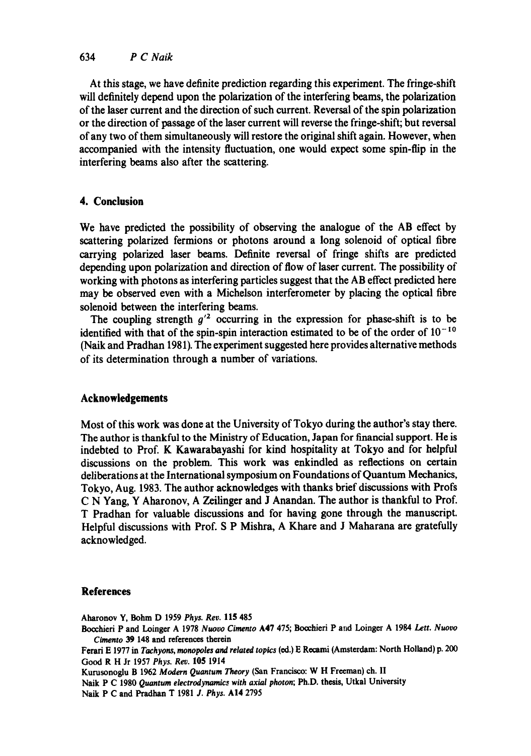### 634 *P C Naik*

At this stage, we have definite prediction regarding this experiment. The fringe-shift will definitely depend upon the polarization of the interfering beams, the polarization of the laser current and the direction of such current. Reversal of the spin polarization or the direction of passage of the laser current will reverse the fringe-shift; but reversal of any two of them simultaneously will restore the original shift again. However, when accompanied with the intensity fluctuation, one would expect some spin-flip in the interfering beams also after the scattering.

## **4. Conclusion**

We have predicted the possibility of observing the analogue of the AB effect by scattering polarized fermions or photons around a long solenoid of optical fibre carrying polarized laser beams. Definite reversal of fringe shifts are predicted depending upon polarization and direction of flow of laser current. The possibility of working with photons as interfering particles suggest that the AB effect predicted here may be observed even with a Michelson interferometer by placing the optical fibre solenoid between the interfering beams.

The coupling strength  $g^2$  occurring in the expression for phase-shift is to be identified with that of the spin-spin interaction estimated to be of the order of  $10^{-10}$ (Naik and Pradhan 1981). The experiment suggested here provides alternative methods of its determination through a number of variations.

## **Acknowledgements**

Most of this work was done at the University of Tokyo during the author's stay there. The author is thankful to the Ministry of Education, Japan for financial support. He is indebted to Prof. K Kawarabayashi for kind hospitality at Tokyo and for helpful discussions on the problem. This work was enkindled as reflections on certain deliberations at the International symposium on Foundations of Quantum Mechanics, Tokyo, Aug. 1983. The author acknowledges with thanks brief discussions with Profs C N Yang, Y Aharonov, A Zeilinger and J Anandan. The author is thankful to Prof. T Pradhan for valuable discussions and for having gone through the manuscript. Helpful discussions with Prof. S P Mishra, A Khare and J Maharana are gratefully acknowledged.

## **References**

Aharonov Y, Bohm D 1959 *Phys.* Rev. 115 485 Boochieri P and Loinger A 1978 *Nuovo Cimento* A47 475; Boochieri P and Loinger A 1984 *Lett. Nuovo Cimento 39* 148 and references therein Ferari E 1977 in *Tachyons, monopoles and related topics* (ed.) E Recami (Amsterdam: North Holland) p. 200 Good R H Jr 1957 *Phys. Rev.* 105 1914 Kurusonoglu B 1962 *Modern Quantum Theory* (San Francisco: W H Freeman) ch. II Naik P C 1980 *Quantum electrodynamics with axial photon;* Ph.D. thesis, Utkal University

Naik P C and Pradhan T 1981 *J. Phys.* AI4 2795